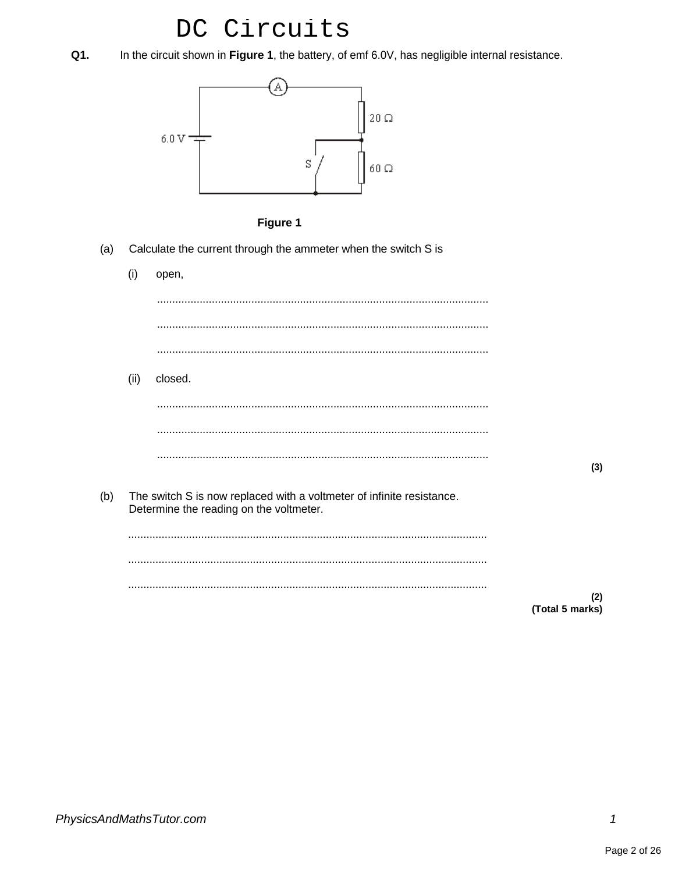## DC Circuits

Q1. In the circuit shown in Figure 1, the battery, of emf 6.0V, has negligible internal resistance.





- Calculate the current through the ammeter when the switch S is  $(a)$ 
	- $(i)$ open,

 $(ii)$ closed.  $(3)$  $(b)$ The switch S is now replaced with a voltmeter of infinite resistance. Determine the reading on the voltmeter.  $(2)$ 

(Total 5 marks)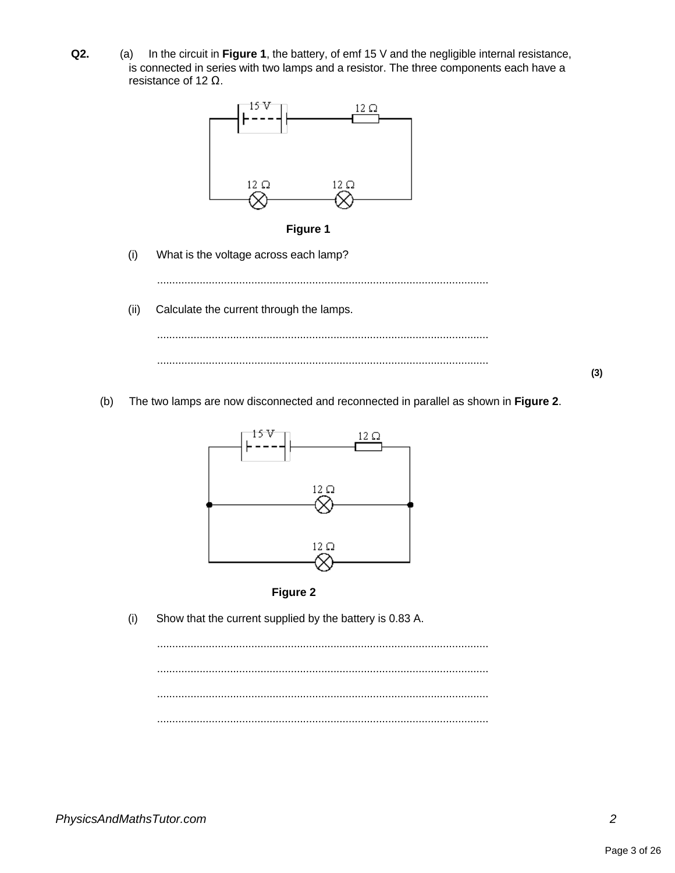**Q2.** (a) In the circuit in **Figure 1**, the battery, of emf 15 V and the negligible internal resistance, is connected in series with two lamps and a resistor. The three components each have a resistance of 12 Ω.





(i) What is the voltage across each lamp?

.............................................................................................................

(ii) Calculate the current through the lamps.

............................................................................................................. .............................................................................................................

**(3)**

(b) The two lamps are now disconnected and reconnected in parallel as shown in **Figure 2**.



**Figure 2**

(i) Show that the current supplied by the battery is 0.83 A.

............................................................................................................. ............................................................................................................. ............................................................................................................. .............................................................................................................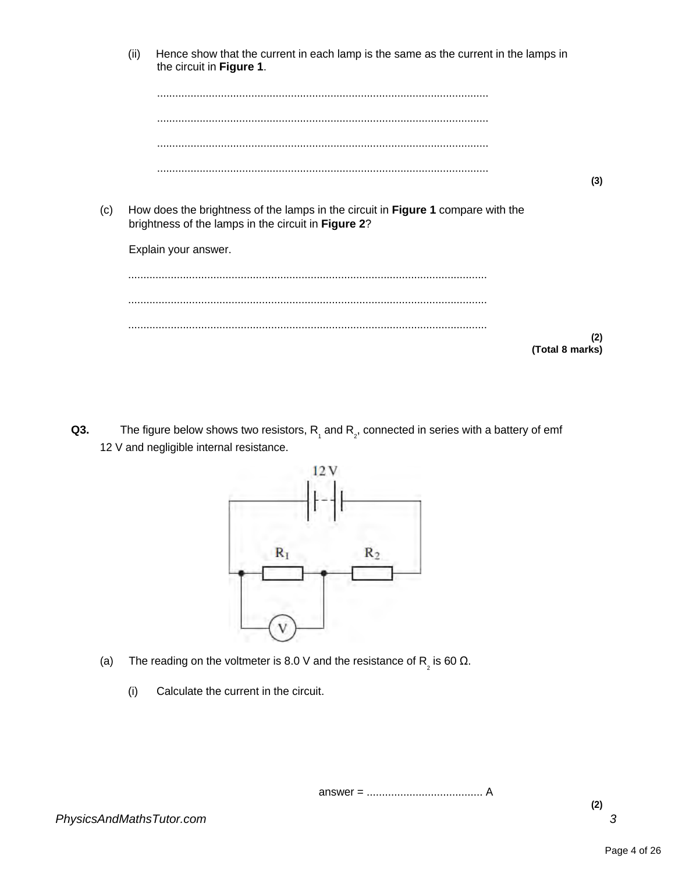(ii) Hence show that the current in each lamp is the same as the current in the lamps in the circuit in **Figure 1**.

............................................................................................................. ............................................................................................................. ............................................................................................................. ............................................................................................................. **(3)** (c) How does the brightness of the lamps in the circuit in **Figure 1** compare with the brightness of the lamps in the circuit in **Figure 2**? Explain your answer. ...................................................................................................................... ...................................................................................................................... ...................................................................................................................... **(2) (Total 8 marks)**

**Q3.** The figure below shows two resistors,  $R_1$  and  $R_2$ , connected in series with a battery of emf 12 V and negligible internal resistance.



- (a) The reading on the voltmeter is 8.0 V and the resistance of R<sub>2</sub> is 60  $\Omega$ .
	- (i) Calculate the current in the circuit.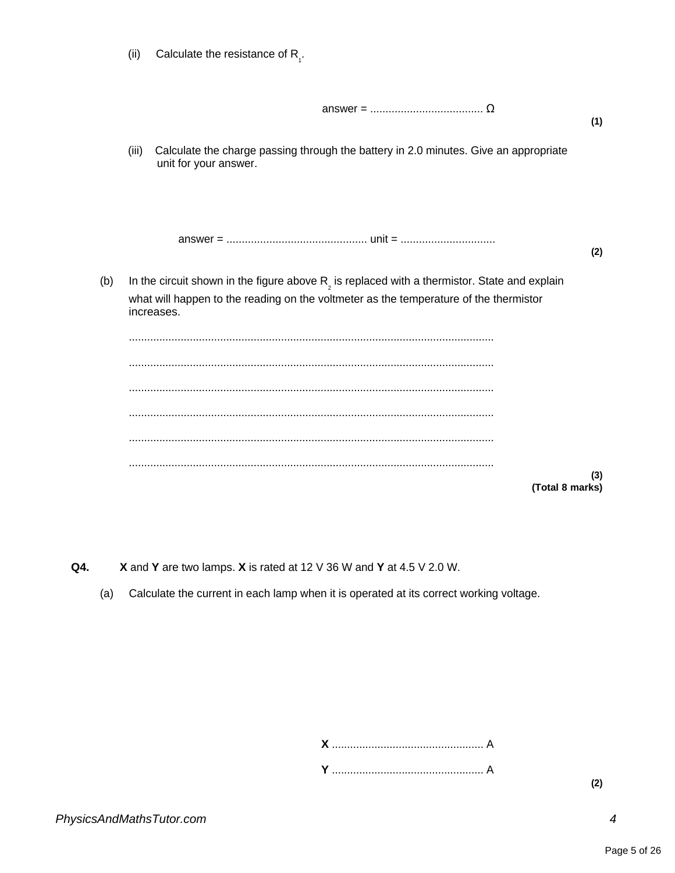|     | (ii)  | Calculate the resistance of $R_1$ .                                                                                                                                                           |     |
|-----|-------|-----------------------------------------------------------------------------------------------------------------------------------------------------------------------------------------------|-----|
|     | (iii) | Calculate the charge passing through the battery in 2.0 minutes. Give an appropriate<br>unit for your answer.                                                                                 | (1) |
| (b) |       | In the circuit shown in the figure above $R_{\rho}$ is replaced with a thermistor. State and explain<br>what will happen to the reading on the voltmeter as the temperature of the thermistor | (2) |
|     |       | increases.                                                                                                                                                                                    |     |
|     |       |                                                                                                                                                                                               |     |
|     |       | (Total 8 marks)                                                                                                                                                                               | (3) |

**Q4. X** and **Y** are two lamps. **X** is rated at 12 V 36 W and **Y** at 4.5 V 2.0 W.

(a) Calculate the current in each lamp when it is operated at its correct working voltage.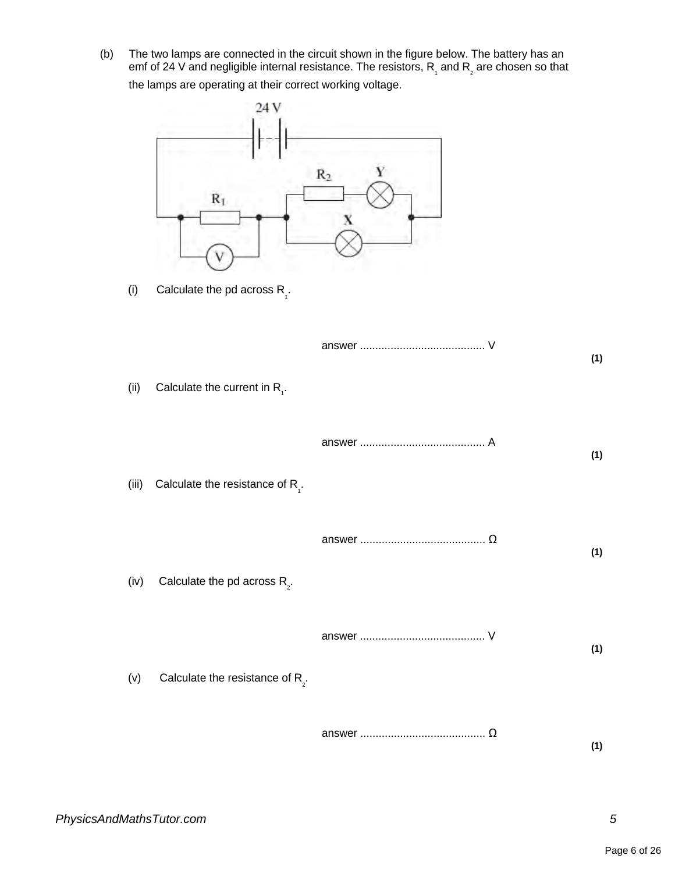(b) The two lamps are connected in the circuit shown in the figure below. The battery has an emf of 24 V and negligible internal resistance. The resistors,  $\mathsf{R}_{_\text{1}}$  and  $\mathsf{R}_{_\text{2}}$  are chosen so that the lamps are operating at their correct working voltage.



(i) Calculate the pd across  $R_{\alpha}$ .

| (ii)  | Calculate the current in $R_1$ .         | (1) |
|-------|------------------------------------------|-----|
| (iii) | Calculate the resistance of $R_{1}$ .    | (1) |
| (iv)  | Calculate the pd across $R_{\rho}$ .     | (1) |
| (v)   | Calculate the resistance of $R_{\rho}$ . | (1) |
|       |                                          | (1) |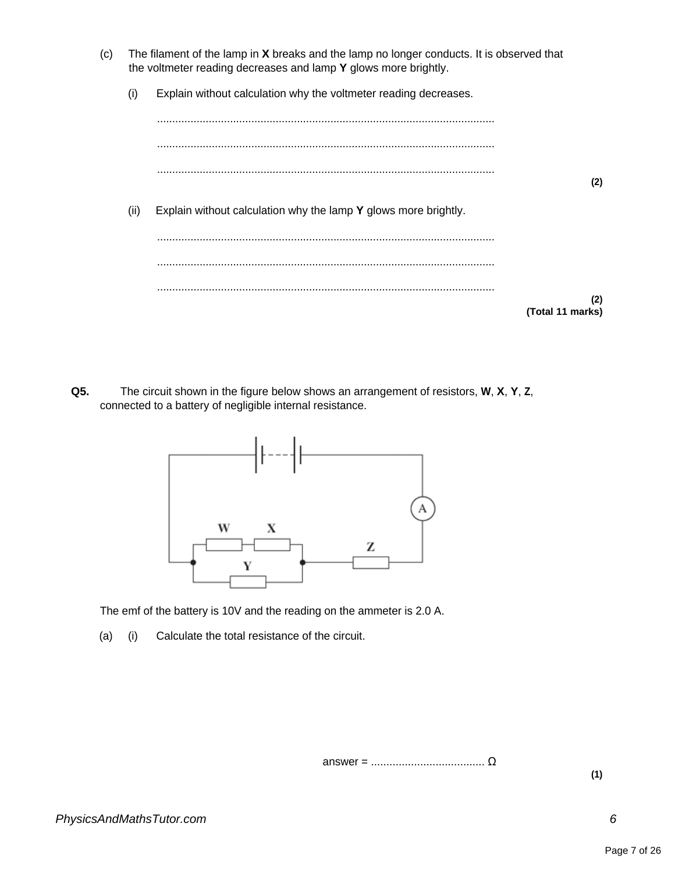| (c) |      | The filament of the lamp in <b>X</b> breaks and the lamp no longer conducts. It is observed that<br>the voltmeter reading decreases and lamp Y glows more brightly. |     |  |
|-----|------|---------------------------------------------------------------------------------------------------------------------------------------------------------------------|-----|--|
|     | (i)  | Explain without calculation why the voltmeter reading decreases.                                                                                                    |     |  |
|     |      |                                                                                                                                                                     |     |  |
|     |      |                                                                                                                                                                     |     |  |
|     |      |                                                                                                                                                                     | (2) |  |
|     | (ii) | Explain without calculation why the lamp Y glows more brightly.                                                                                                     |     |  |
|     |      |                                                                                                                                                                     |     |  |
|     |      |                                                                                                                                                                     |     |  |
|     |      | (Total 11 marks)                                                                                                                                                    | (2) |  |

**Q5.** The circuit shown in the figure below shows an arrangement of resistors, **W**, **X**, **Y**, **Z**, connected to a battery of negligible internal resistance.



The emf of the battery is 10V and the reading on the ammeter is 2.0 A.

(a) (i) Calculate the total resistance of the circuit.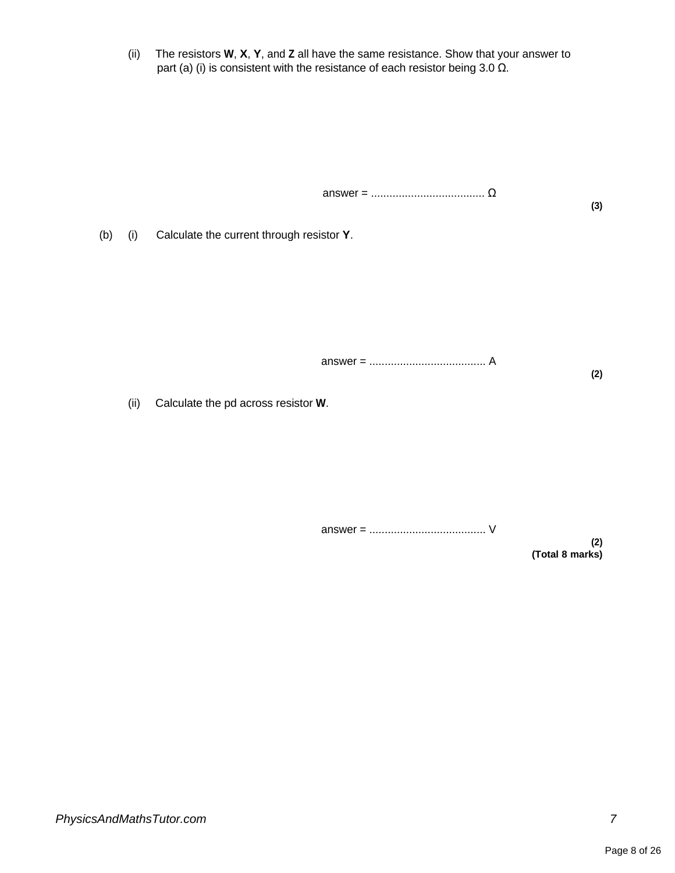(ii) The resistors **W**, **X**, **Y**, and **Z** all have the same resistance. Show that your answer to part (a) (i) is consistent with the resistance of each resistor being  $3.0 \Omega$ .

answer = ..................................... Ω **(3)** (b) (i) Calculate the current through resistor **Y**. answer = ...................................... A **(2)** (ii) Calculate the pd across resistor **W**.

answer = ...................................... V

**(2) (Total 8 marks)**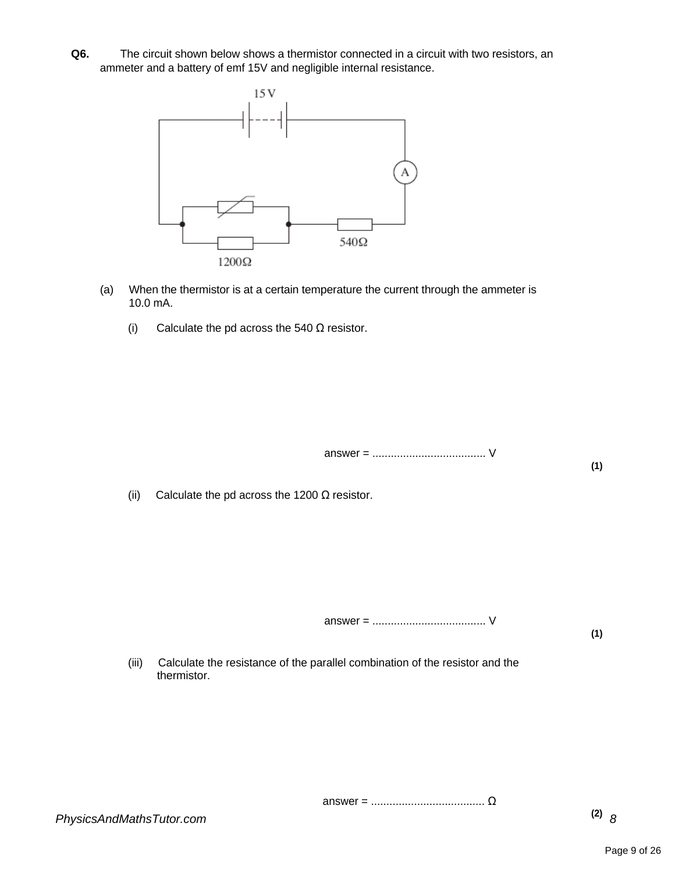**Q6.** The circuit shown below shows a thermistor connected in a circuit with two resistors, an ammeter and a battery of emf 15V and negligible internal resistance.



- (a) When the thermistor is at a certain temperature the current through the ammeter is 10.0 mA.
	- (i) Calculate the pd across the 540  $\Omega$  resistor.

answer = ..................................... V

(ii) Calculate the pd across the 1200  $\Omega$  resistor.

answer = ..................................... V

**(1)**

**(1)**

(iii) Calculate the resistance of the parallel combination of the resistor and the thermistor.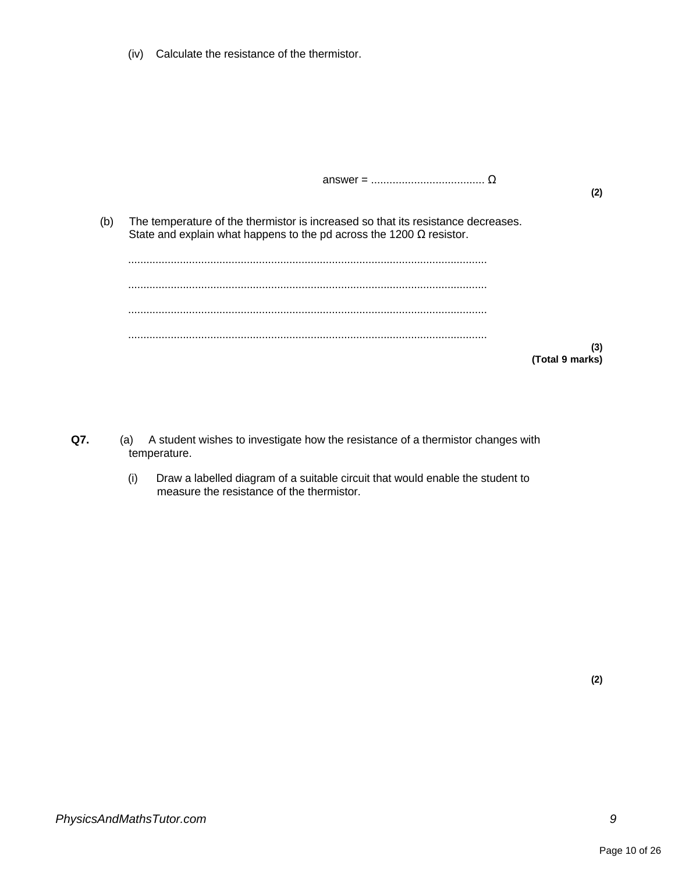(iv) Calculate the resistance of the thermistor.

answer = ..................................... Ω

**(2)**

**(3)**

(b) The temperature of the thermistor is increased so that its resistance decreases. State and explain what happens to the pd across the 1200  $\Omega$  resistor.

...................................................................................................................... ...................................................................................................................... ...................................................................................................................... ...................................................................................................................... **(Total 9 marks)**

- **Q7.** (a) A student wishes to investigate how the resistance of a thermistor changes with temperature.
	- (i) Draw a labelled diagram of a suitable circuit that would enable the student to measure the resistance of the thermistor.

**(2)**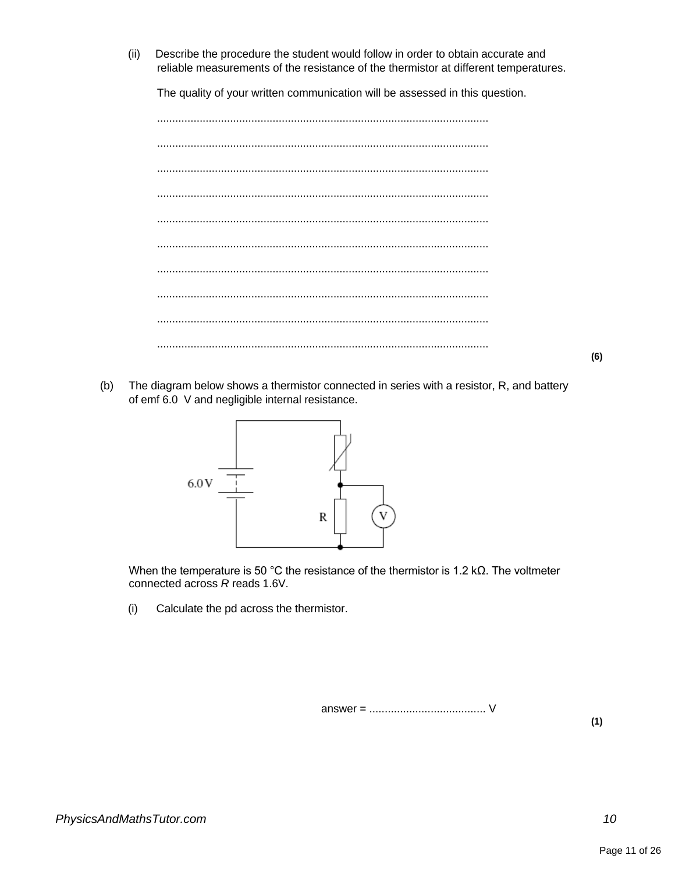$(ii)$ Describe the procedure the student would follow in order to obtain accurate and reliable measurements of the resistance of the thermistor at different temperatures.

The quality of your written communication will be assessed in this question.

 $(6)$ 

(b) The diagram below shows a thermistor connected in series with a resistor, R, and battery of emf 6.0 V and negligible internal resistance.



When the temperature is 50 °C the resistance of the thermistor is 1.2 k $\Omega$ . The voltmeter connected across R reads 1.6V.

Calculate the pd across the thermistor.  $(i)$ 

answer = 
$$
\ldots
$$

 $(1)$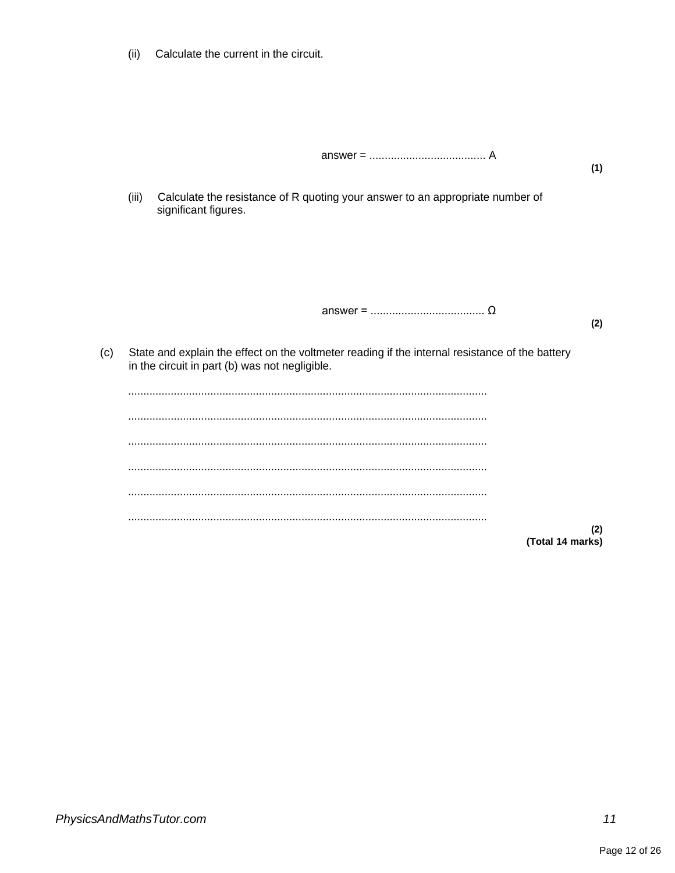$(ii)$ Calculate the current in the circuit.

Calculate the resistance of R quoting your answer to an appropriate number of  $(iii)$ significant figures.

 $(2)$ 

 $(1)$ 

State and explain the effect on the voltmeter reading if the internal resistance of the battery  $(c)$ in the circuit in part (b) was not negligible.

 $(2)$ (Total 14 marks)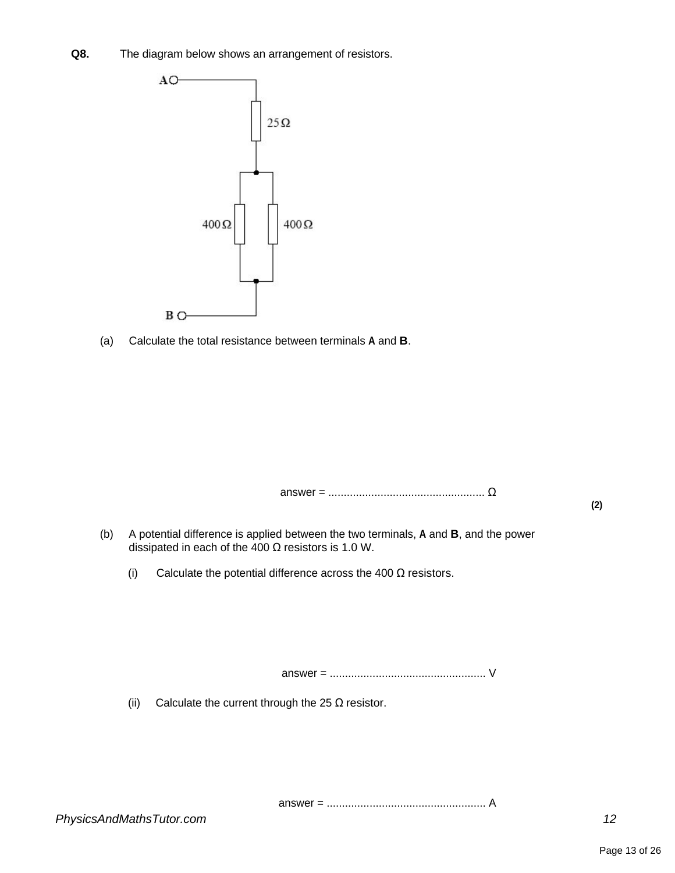**Q8.** The diagram below shows an arrangement of resistors.



(a) Calculate the total resistance between terminals **A** and **B**.

answer = ................................................... Ω

**(2)**

- (b) A potential difference is applied between the two terminals, **A** and **B**, and the power dissipated in each of the 400  $\Omega$  resistors is 1.0 W.
	- (i) Calculate the potential difference across the 400  $\Omega$  resistors.

answer = ................................................... V

(ii) Calculate the current through the 25  $\Omega$  resistor.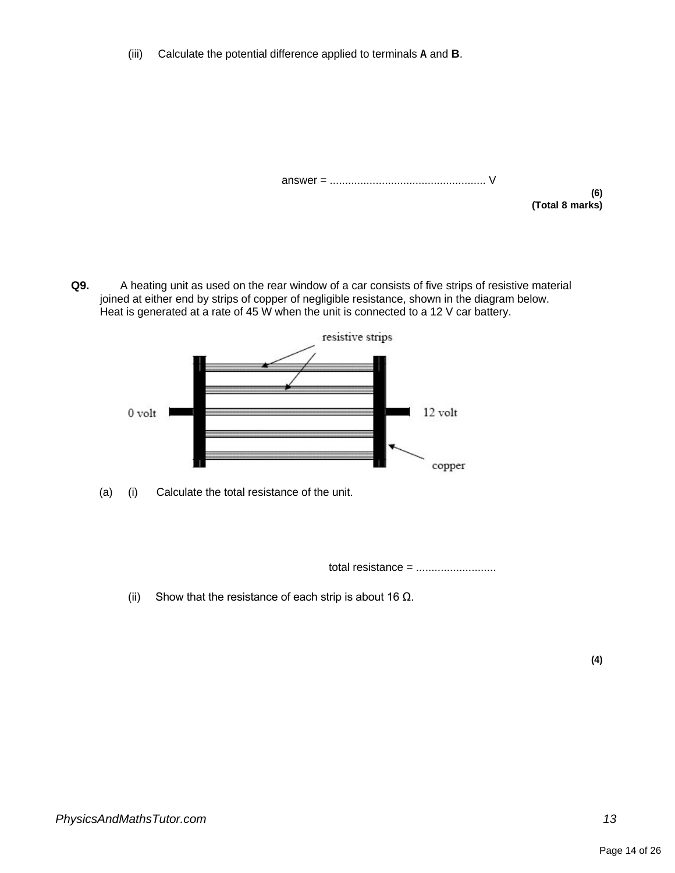(iii) Calculate the potential difference applied to terminals **A** and **B**.

answer = ................................................... V

**(6) (Total 8 marks)**

**Q9.** A heating unit as used on the rear window of a car consists of five strips of resistive material joined at either end by strips of copper of negligible resistance, shown in the diagram below. Heat is generated at a rate of 45 W when the unit is connected to a 12 V car battery.



(a) (i) Calculate the total resistance of the unit.

total resistance = ...........................

(ii) Show that the resistance of each strip is about 16  $\Omega$ .

**(4)**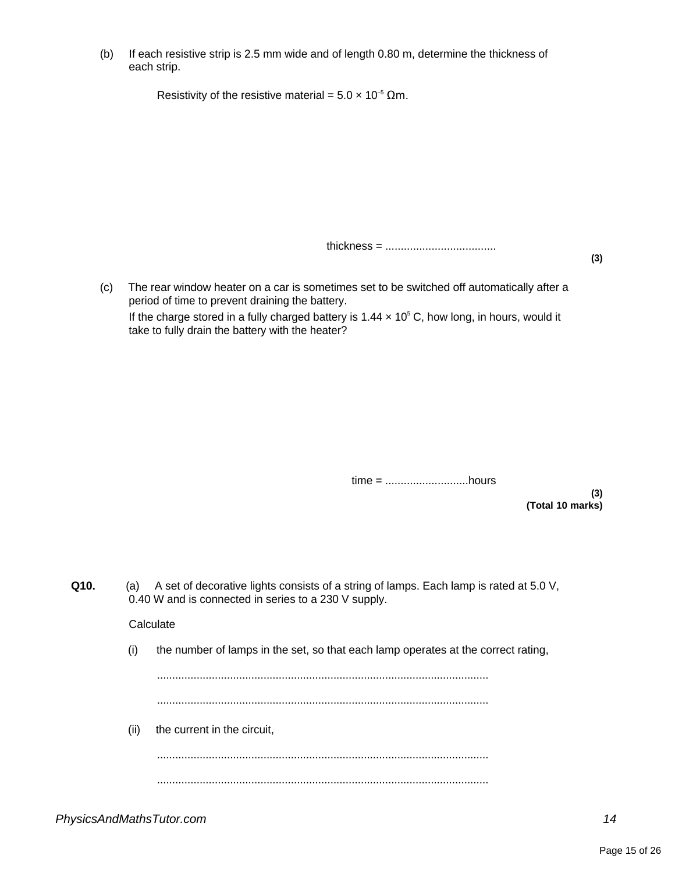(b) If each resistive strip is 2.5 mm wide and of length 0.80 m, determine the thickness of each strip.

Resistivity of the resistive material =  $5.0 \times 10^{-5}$   $\Omega$ m.

thickness = ....................................

**(3)**

(c) The rear window heater on a car is sometimes set to be switched off automatically after a period of time to prevent draining the battery. If the charge stored in a fully charged battery is  $1.44 \times 10^5$  C, how long, in hours, would it take to fully drain the battery with the heater?

time = ...........................hours

**(3) (Total 10 marks)**

**Q10.** (a) A set of decorative lights consists of a string of lamps. Each lamp is rated at 5.0 V, 0.40 W and is connected in series to a 230 V supply.

**Calculate** 

(i) the number of lamps in the set, so that each lamp operates at the correct rating,

............................................................................................................. ............................................................................................................. (ii) the current in the circuit,

............................................................................................................. .............................................................................................................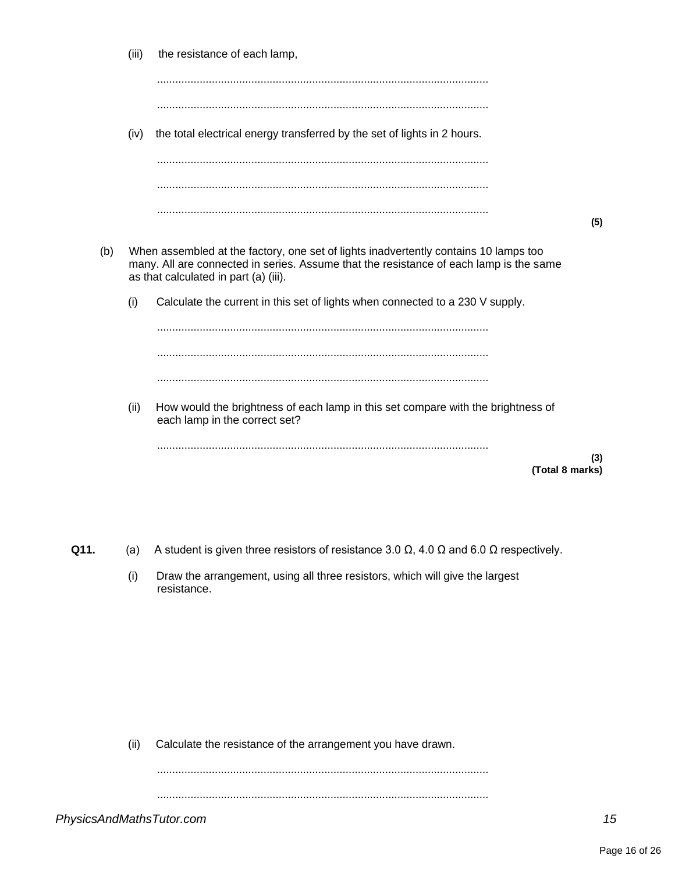(iii) the resistance of each lamp, ............................................................................................................. ............................................................................................................. (iv) the total electrical energy transferred by the set of lights in 2 hours. ............................................................................................................. ............................................................................................................. ............................................................................................................. **(5)** (b) When assembled at the factory, one set of lights inadvertently contains 10 lamps too many. All are connected in series. Assume that the resistance of each lamp is the same as that calculated in part (a) (iii). (i) Calculate the current in this set of lights when connected to a 230 V supply. ............................................................................................................. ............................................................................................................. ............................................................................................................. (ii) How would the brightness of each lamp in this set compare with the brightness of each lamp in the correct set? ............................................................................................................. **(3) (Total 8 marks)**

**Q11.** (a) A student is given three resistors of resistance 3.0 Ω, 4.0 Ω and 6.0 Ω respectively.

(i) Draw the arrangement, using all three resistors, which will give the largest resistance.

(ii) Calculate the resistance of the arrangement you have drawn.

.............................................................................................................

.............................................................................................................